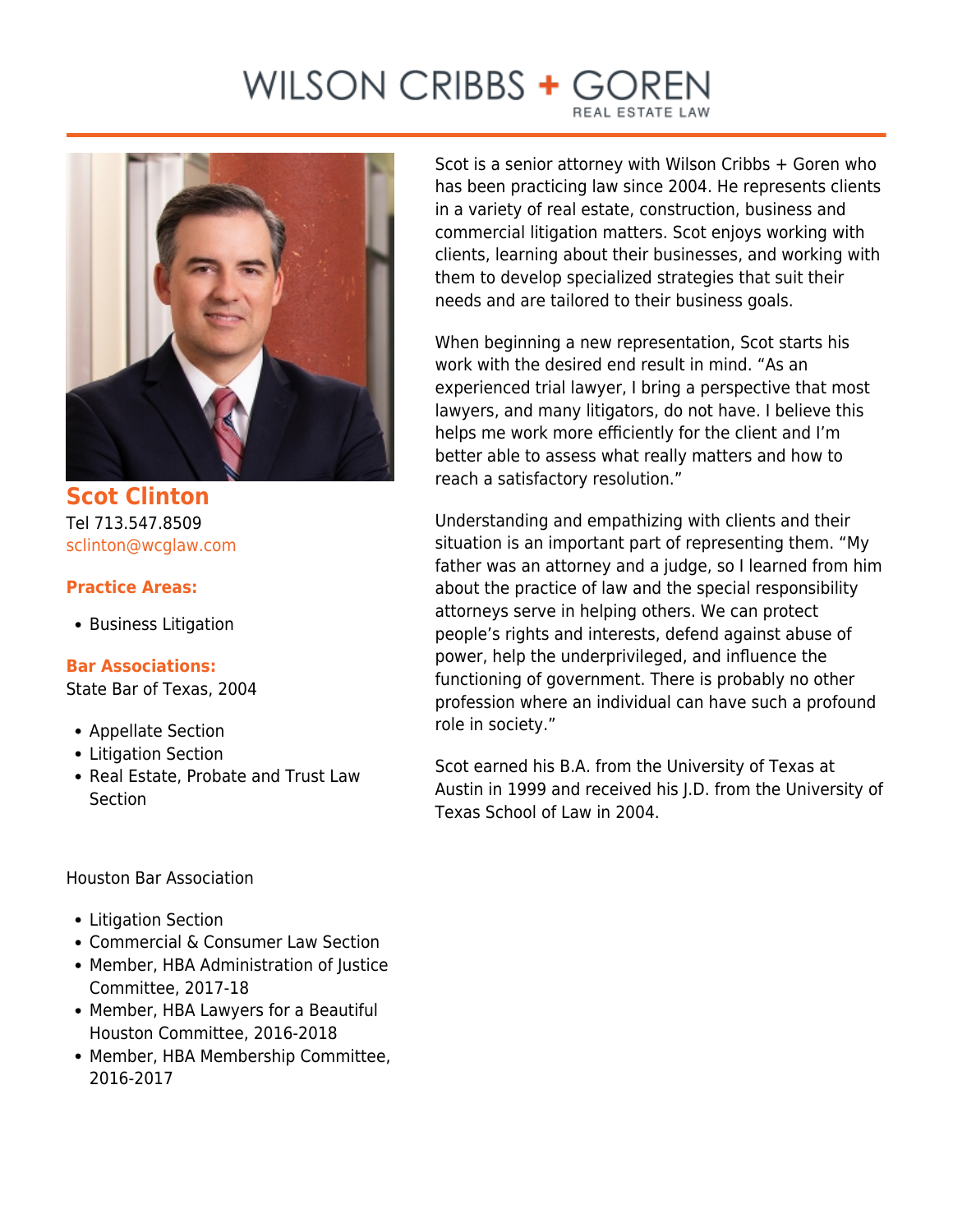# WILSON CRIBBS + GO



**Scot Clinton** Tel 713.547.8509 [sclinton@wcglaw.com](mailto:sclinton@wcglaw.com)

### **Practice Areas:**

• Business Litigation

#### **Bar Associations:**

State Bar of Texas, 2004

- Appellate Section
- Litigation Section
- Real Estate, Probate and Trust Law **Section**

#### Houston Bar Association

- Litigation Section
- Commercial & Consumer Law Section
- Member, HBA Administration of Justice Committee, 2017-18
- Member, HBA Lawyers for a Beautiful Houston Committee, 2016-2018
- Member, HBA Membership Committee, 2016-2017

Scot is a senior attorney with Wilson Cribbs + Goren who has been practicing law since 2004. He represents clients in a variety of real estate, construction, business and commercial litigation matters. Scot enjoys working with clients, learning about their businesses, and working with them to develop specialized strategies that suit their needs and are tailored to their business goals.

When beginning a new representation, Scot starts his work with the desired end result in mind. "As an experienced trial lawyer, I bring a perspective that most lawyers, and many litigators, do not have. I believe this helps me work more efficiently for the client and I'm better able to assess what really matters and how to reach a satisfactory resolution."

Understanding and empathizing with clients and their situation is an important part of representing them. "My father was an attorney and a judge, so I learned from him about the practice of law and the special responsibility attorneys serve in helping others. We can protect people's rights and interests, defend against abuse of power, help the underprivileged, and influence the functioning of government. There is probably no other profession where an individual can have such a profound role in society."

Scot earned his B.A. from the University of Texas at Austin in 1999 and received his J.D. from the University of Texas School of Law in 2004.